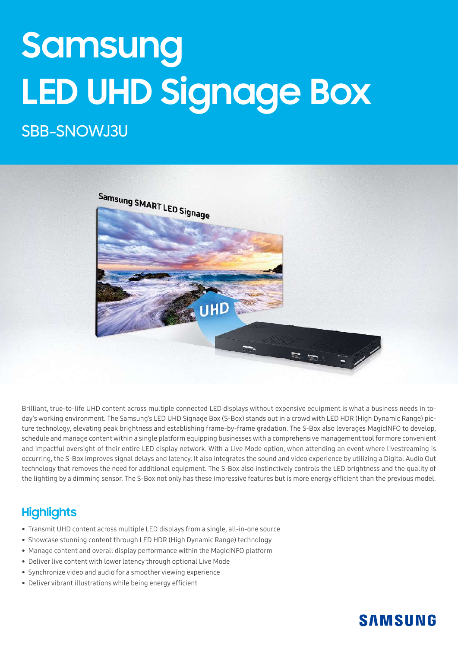# **Samsung LED UHD Signage Box**

# SBB-SNOWJ3U



Brilliant, true-to-life UHD content across multiple connected LED displays without expensive equipment is what a business needs in today's working environment. The Samsung's LED UHD Signage Box (S-Box) stands out in a crowd with LED HDR (High Dynamic Range) picture technology, elevating peak brightness and establishing frame-by-frame gradation. The S-Box also leverages MagicINFO to develop, schedule and manage content within a single platform equipping businesses with a comprehensive management tool for more convenient and impactful oversight of their entire LED display network. With a Live Mode option, when attending an event where livestreaming is occurring, the S-Box improves signal delays and latency. It also integrates the sound and video experience by utilizing a Digital Audio Out technology that removes the need for additional equipment. The S-Box also instinctively controls the LED brightness and the quality of the lighting by a dimming sensor. The S-Box not only has these impressive features but is more energy efficient than the previous model.

## **Highlights**

- Transmit UHD content across multiple LED displays from a single, all-in-one source
- Showcase stunning content through LED HDR (High Dynamic Range) technology
- Manage content and overall display performance within the MagicINFO platform
- Deliver live content with lower latency through optional Live Mode
- Synchronize video and audio for a smoother viewing experience
- Deliver vibrant illustrations while being energy efficient

## **SAMSUNG**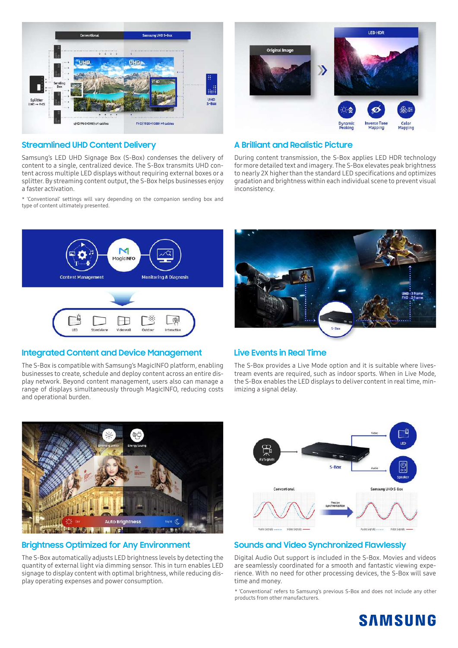



#### **Streamlined UHD Content Delivery**

Samsung's LED UHD Signage Box (S-Box) condenses the delivery of content to a single, centralized device. The S-Box transmits UHD content across multiple LED displays without requiring external boxes or a splitter. By streaming content output, the S-Box helps businesses enjoy a faster activation.

\* 'Conventional' settings will vary depending on the companion sending box and type of content ultimately presented.

#### **A Brilliant and Realistic Picture**

During content transmission, the S-Box applies LED HDR technology for more detailed text and imagery. The S-Box elevates peak brightness to nearly 2X higher than the standard LED specifications and optimizes gradation and brightness within each individual scene to prevent visual inconsistency.



#### **Integrated Content and Device Management**

The S-Box is compatible with Samsung's MagicINFO platform, enabling businesses to create, schedule and deploy content across an entire display network. Beyond content management, users also can manage a range of displays simultaneously through MagicINFO, reducing costs and operational burden.



#### **Live Events in Real Time**

The S-Box provides a Live Mode option and it is suitable where livestream events are required, such as indoor sports. When in Live Mode, the S-Box enables the LED displays to deliver content in real time, minimizing a signal delay.



#### **Brightness Optimized for Any Environment**

The S-Box automatically adjusts LED brightness levels by detecting the quantity of external light via dimming sensor. This in turn enables LED signage to display content with optimal brightness, while reducing display operating expenses and power consumption.



#### **Sounds and Video Synchronized Flawlessly**

Digital Audio Out support is included in the S-Box. Movies and videos are seamlessly coordinated for a smooth and fantastic viewing experience. With no need for other processing devices, the S-Box will save time and money.

\* 'Conventional' refers to Samsung's previous S-Box and does not include any other products from other manufacturers.

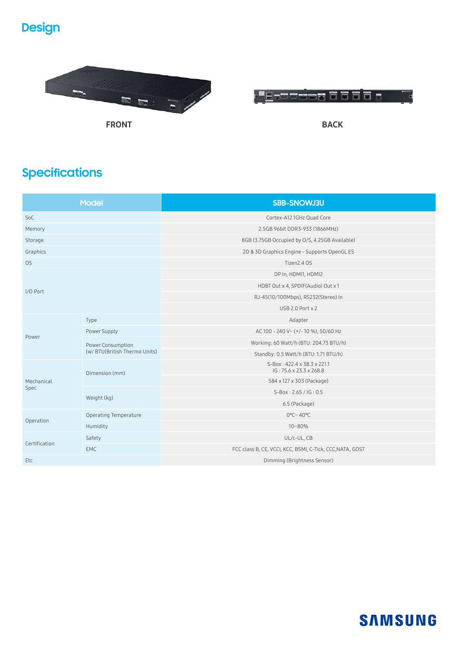# **Design**





# **Specifications**

| <b>Model</b>       |                                                    | SBB-SNOWJ3U                                               |
|--------------------|----------------------------------------------------|-----------------------------------------------------------|
| SoC                |                                                    | Cortex-A12 1GHz Quad Core                                 |
| Memory             |                                                    | 2.5GB 96bit DDR3-933 (1866MHz)                            |
| Storage            |                                                    | 8GB (3.75GB Occupied by O/S, 4.25GB Available)            |
| Graphics           |                                                    | 2D & 3D Graphics Engine - Supports OpenGL ES              |
| <b>OS</b>          |                                                    | Tizen2.4 OS                                               |
| I/O Port           |                                                    | DP In, HDMI1, HDMI2                                       |
|                    |                                                    | HDBT Out x 4, SPDIF(Audio) Out x 1                        |
|                    |                                                    | RJ-45(10/100Mbps), RS232(Stereo) In                       |
|                    |                                                    | $USB 2.0$ Port $x 2$                                      |
| Power              | Type                                               | Adapter                                                   |
|                    | Power Supply                                       | AC 100 - 240 V~ (+/-10 %), 50/60 Hz                       |
|                    | Power Consumption<br>(w/ BTU(British Thermo Units) | Working: 60 Watt/h (BTU: 204.73 BTU/h)                    |
|                    |                                                    | Standby: 0.5 Watt/h (BTU: 1.71 BTU/h)                     |
| Mechanical<br>Spec | Dimension (mm)                                     | S-Box: 422.4 x 38.3 x 221.1<br>IG: 75.6 x 23.3 x 268.8    |
|                    |                                                    | 584 x 127 x 303 (Package)                                 |
|                    | Weight (kg)                                        | S-Box: 2.65 / IG: 0.5                                     |
|                    |                                                    | 6.5 (Package)                                             |
| Operation          | <b>Operating Temperature</b>                       | $0^{\circ}$ C~ 40°C                                       |
|                    | Humidity                                           | 10~80%                                                    |
| Certification      | Safety                                             | UL/c-UL, CB                                               |
|                    | <b>EMC</b>                                         | FCC class B, CE, VCCI, KCC, BSMI, C-Tick, CCC, NATA, GOST |
| Etc                |                                                    | Dimming (Brightness Sensor)                               |